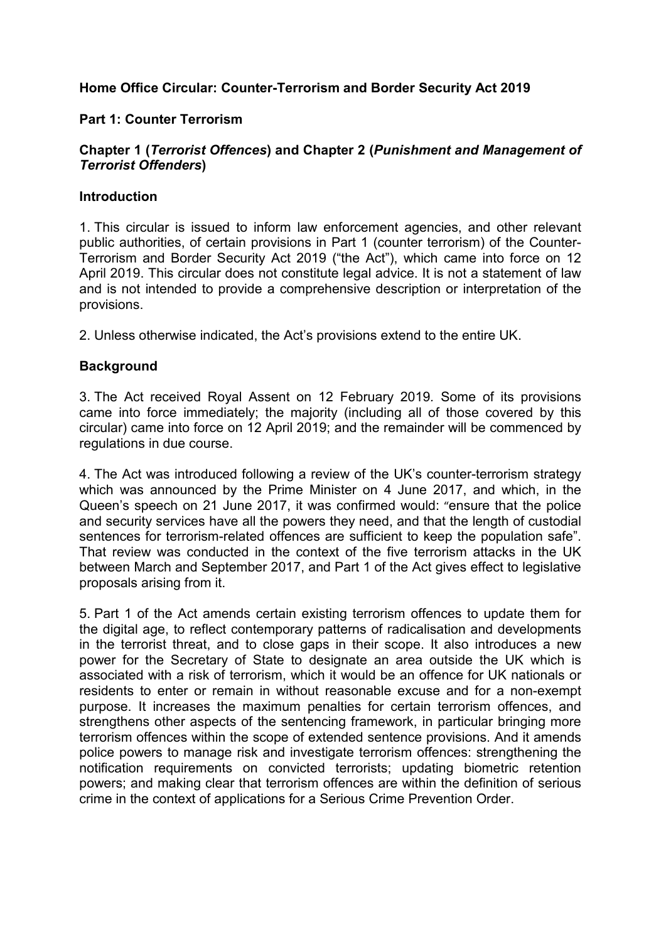# **Home Office Circular: Counter-Terrorism and Border Security Act 2019**

#### **Part 1: Counter Terrorism**

## **Chapter 1 (***Terrorist Offences***) and Chapter 2 (***Punishment and Management of Terrorist Offenders***)**

#### **Introduction**

1. This circular is issued to inform law enforcement agencies, and other relevant public authorities, of certain provisions in Part 1 (counter terrorism) of the Counter-Terrorism and Border Security Act 2019 ("the Act"), which came into force on 12 April 2019. This circular does not constitute legal advice. It is not a statement of law and is not intended to provide a comprehensive description or interpretation of the provisions.

2. Unless otherwise indicated, the Act's provisions extend to the entire UK.

#### **Background**

3. The Act received Royal Assent on 12 February 2019*.* Some of its provisions came into force immediately; the majority (including all of those covered by this circular) came into force on 12 April 2019; and the remainder will be commenced by regulations in due course.

4. The Act was introduced following a review of the UK's counter-terrorism strategy which was announced by the Prime Minister on 4 June 2017, and which, in the Queen's speech on 21 June 2017, it was confirmed would: "ensure that the police and security services have all the powers they need, and that the length of custodial sentences for terrorism-related offences are sufficient to keep the population safe". That review was conducted in the context of the five terrorism attacks in the UK between March and September 2017, and Part 1 of the Act gives effect to legislative proposals arising from it.

5. Part 1 of the Act amends certain existing terrorism offences to update them for the digital age, to reflect contemporary patterns of radicalisation and developments in the terrorist threat, and to close gaps in their scope. It also introduces a new power for the Secretary of State to designate an area outside the UK which is associated with a risk of terrorism, which it would be an offence for UK nationals or residents to enter or remain in without reasonable excuse and for a non-exempt purpose. It increases the maximum penalties for certain terrorism offences, and strengthens other aspects of the sentencing framework, in particular bringing more terrorism offences within the scope of extended sentence provisions. And it amends police powers to manage risk and investigate terrorism offences: strengthening the notification requirements on convicted terrorists; updating biometric retention powers; and making clear that terrorism offences are within the definition of serious crime in the context of applications for a Serious Crime Prevention Order.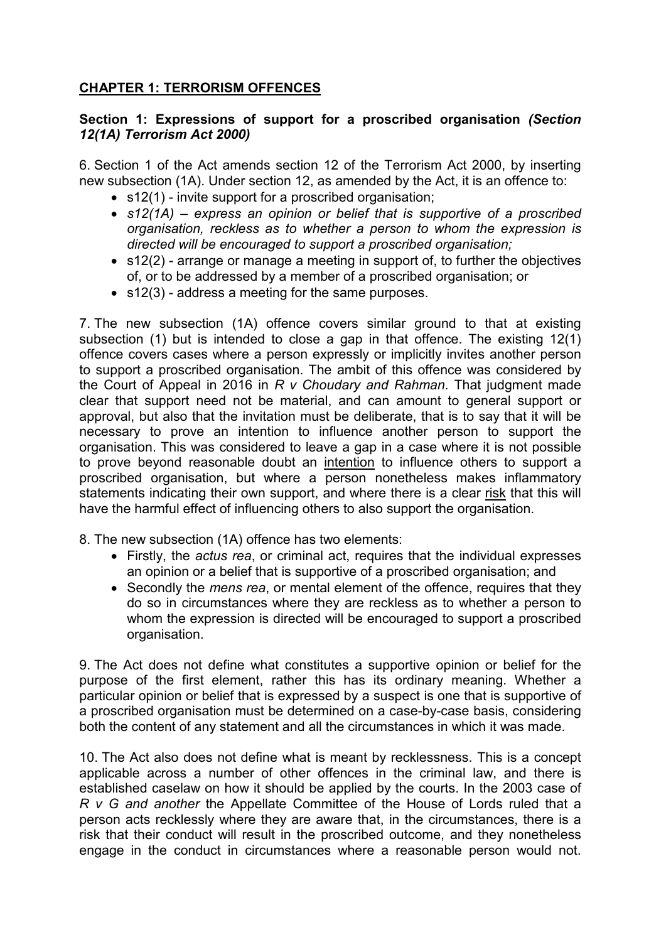# **CHAPTER 1: TERRORISM OFFENCES**

## **Section 1: Expressions of support for a proscribed organisation** *(Section 12(1A) Terrorism Act 2000)*

6. Section 1 of the Act amends section 12 of the Terrorism Act 2000, by inserting new subsection (1A). Under section 12, as amended by the Act, it is an offence to:

- s12(1) invite support for a proscribed organisation;
- *s12(1A) – express an opinion or belief that is supportive of a proscribed organisation, reckless as to whether a person to whom the expression is directed will be encouraged to support a proscribed organisation;*
- s12(2) arrange or manage a meeting in support of, to further the objectives of, or to be addressed by a member of a proscribed organisation; or
- s12(3) address a meeting for the same purposes.

7. The new subsection (1A) offence covers similar ground to that at existing subsection (1) but is intended to close a gap in that offence. The existing 12(1) offence covers cases where a person expressly or implicitly invites another person to support a proscribed organisation. The ambit of this offence was considered by the Court of Appeal in 2016 in *R v Choudary and Rahman*. That judgment made clear that support need not be material, and can amount to general support or approval, but also that the invitation must be deliberate, that is to say that it will be necessary to prove an intention to influence another person to support the organisation. This was considered to leave a gap in a case where it is not possible to prove beyond reasonable doubt an intention to influence others to support a proscribed organisation, but where a person nonetheless makes inflammatory statements indicating their own support, and where there is a clear risk that this will have the harmful effect of influencing others to also support the organisation.

- 8. The new subsection (1A) offence has two elements:
	- Firstly, the *actus rea*, or criminal act, requires that the individual expresses an opinion or a belief that is supportive of a proscribed organisation; and
	- Secondly the *mens rea*, or mental element of the offence, requires that they do so in circumstances where they are reckless as to whether a person to whom the expression is directed will be encouraged to support a proscribed organisation.

9. The Act does not define what constitutes a supportive opinion or belief for the purpose of the first element, rather this has its ordinary meaning. Whether a particular opinion or belief that is expressed by a suspect is one that is supportive of a proscribed organisation must be determined on a case-by-case basis, considering both the content of any statement and all the circumstances in which it was made.

10. The Act also does not define what is meant by recklessness. This is a concept applicable across a number of other offences in the criminal law, and there is established caselaw on how it should be applied by the courts. In the 2003 case of *R v G and another* the Appellate Committee of the House of Lords ruled that a person acts recklessly where they are aware that, in the circumstances, there is a risk that their conduct will result in the proscribed outcome, and they nonetheless engage in the conduct in circumstances where a reasonable person would not.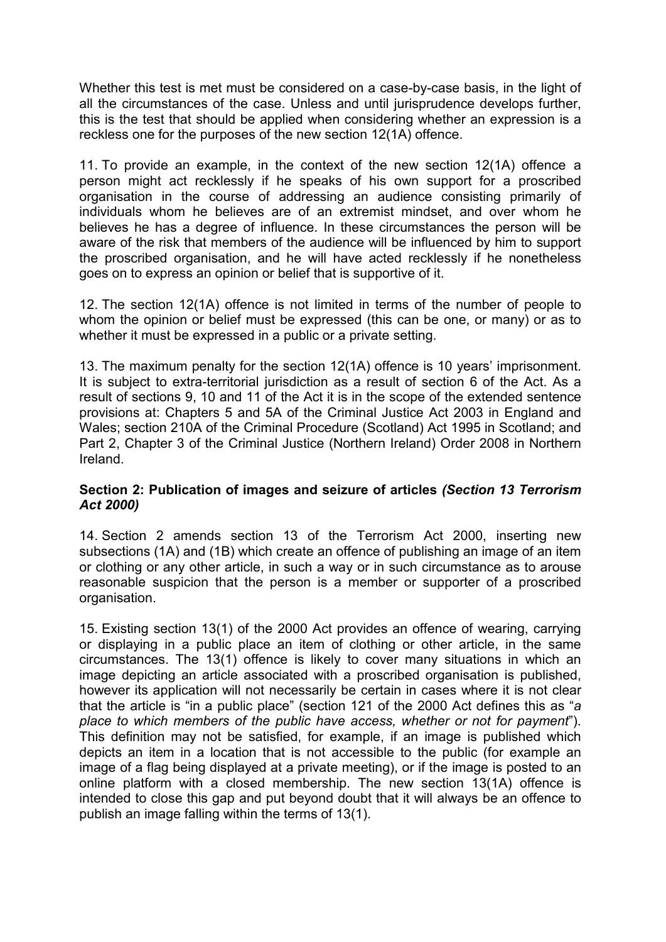Whether this test is met must be considered on a case-by-case basis, in the light of all the circumstances of the case. Unless and until jurisprudence develops further, this is the test that should be applied when considering whether an expression is a reckless one for the purposes of the new section 12(1A) offence.

11. To provide an example, in the context of the new section 12(1A) offence a person might act recklessly if he speaks of his own support for a proscribed organisation in the course of addressing an audience consisting primarily of individuals whom he believes are of an extremist mindset, and over whom he believes he has a degree of influence. In these circumstances the person will be aware of the risk that members of the audience will be influenced by him to support the proscribed organisation, and he will have acted recklessly if he nonetheless goes on to express an opinion or belief that is supportive of it.

12. The section 12(1A) offence is not limited in terms of the number of people to whom the opinion or belief must be expressed (this can be one, or many) or as to whether it must be expressed in a public or a private setting.

13. The maximum penalty for the section 12(1A) offence is 10 years' imprisonment. It is subject to extra-territorial jurisdiction as a result of section 6 of the Act. As a result of sections 9, 10 and 11 of the Act it is in the scope of the extended sentence provisions at: Chapters 5 and 5A of the Criminal Justice Act 2003 in England and Wales; section 210A of the Criminal Procedure (Scotland) Act 1995 in Scotland; and Part 2, Chapter 3 of the Criminal Justice (Northern Ireland) Order 2008 in Northern Ireland.

#### **Section 2: Publication of images and seizure of articles** *(Section 13 Terrorism Act 2000)*

14. Section 2 amends section 13 of the Terrorism Act 2000, inserting new subsections (1A) and (1B) which create an offence of publishing an image of an item or clothing or any other article, in such a way or in such circumstance as to arouse reasonable suspicion that the person is a member or supporter of a proscribed organisation.

15. Existing section 13(1) of the 2000 Act provides an offence of wearing, carrying or displaying in a public place an item of clothing or other article, in the same circumstances. The 13(1) offence is likely to cover many situations in which an image depicting an article associated with a proscribed organisation is published, however its application will not necessarily be certain in cases where it is not clear that the article is "in a public place" (section 121 of the 2000 Act defines this as "*a place to which members of the public have access, whether or not for payment*"). This definition may not be satisfied, for example, if an image is published which depicts an item in a location that is not accessible to the public (for example an image of a flag being displayed at a private meeting), or if the image is posted to an online platform with a closed membership. The new section 13(1A) offence is intended to close this gap and put beyond doubt that it will always be an offence to publish an image falling within the terms of 13(1).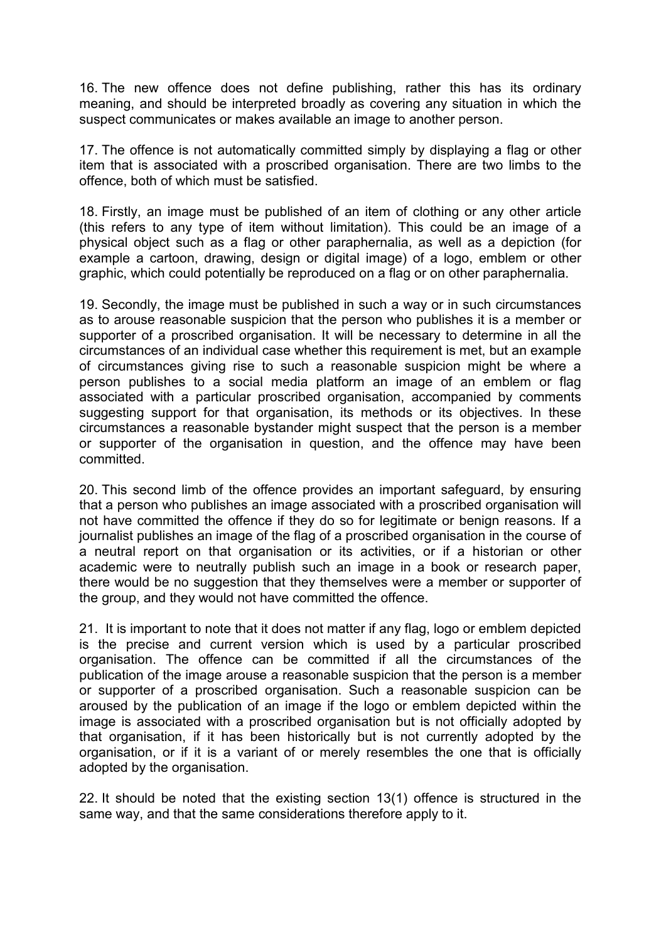16. The new offence does not define publishing, rather this has its ordinary meaning, and should be interpreted broadly as covering any situation in which the suspect communicates or makes available an image to another person.

17. The offence is not automatically committed simply by displaying a flag or other item that is associated with a proscribed organisation. There are two limbs to the offence, both of which must be satisfied.

18. Firstly, an image must be published of an item of clothing or any other article (this refers to any type of item without limitation). This could be an image of a physical object such as a flag or other paraphernalia, as well as a depiction (for example a cartoon, drawing, design or digital image) of a logo, emblem or other graphic, which could potentially be reproduced on a flag or on other paraphernalia.

19. Secondly, the image must be published in such a way or in such circumstances as to arouse reasonable suspicion that the person who publishes it is a member or supporter of a proscribed organisation. It will be necessary to determine in all the circumstances of an individual case whether this requirement is met, but an example of circumstances giving rise to such a reasonable suspicion might be where a person publishes to a social media platform an image of an emblem or flag associated with a particular proscribed organisation, accompanied by comments suggesting support for that organisation, its methods or its objectives. In these circumstances a reasonable bystander might suspect that the person is a member or supporter of the organisation in question, and the offence may have been committed.

20. This second limb of the offence provides an important safeguard, by ensuring that a person who publishes an image associated with a proscribed organisation will not have committed the offence if they do so for legitimate or benign reasons. If a journalist publishes an image of the flag of a proscribed organisation in the course of a neutral report on that organisation or its activities, or if a historian or other academic were to neutrally publish such an image in a book or research paper, there would be no suggestion that they themselves were a member or supporter of the group, and they would not have committed the offence.

21. It is important to note that it does not matter if any flag, logo or emblem depicted is the precise and current version which is used by a particular proscribed organisation. The offence can be committed if all the circumstances of the publication of the image arouse a reasonable suspicion that the person is a member or supporter of a proscribed organisation. Such a reasonable suspicion can be aroused by the publication of an image if the logo or emblem depicted within the image is associated with a proscribed organisation but is not officially adopted by that organisation, if it has been historically but is not currently adopted by the organisation, or if it is a variant of or merely resembles the one that is officially adopted by the organisation.

22. It should be noted that the existing section 13(1) offence is structured in the same way, and that the same considerations therefore apply to it.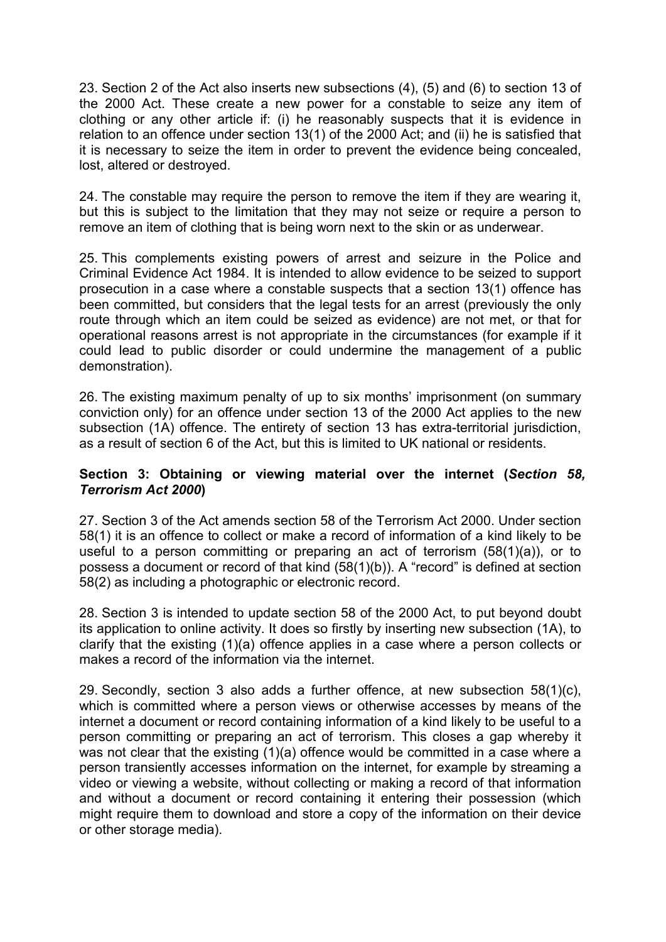23. Section 2 of the Act also inserts new subsections (4), (5) and (6) to section 13 of the 2000 Act. These create a new power for a constable to seize any item of clothing or any other article if: (i) he reasonably suspects that it is evidence in relation to an offence under section 13(1) of the 2000 Act; and (ii) he is satisfied that it is necessary to seize the item in order to prevent the evidence being concealed, lost, altered or destroyed.

24. The constable may require the person to remove the item if they are wearing it, but this is subject to the limitation that they may not seize or require a person to remove an item of clothing that is being worn next to the skin or as underwear.

25. This complements existing powers of arrest and seizure in the Police and Criminal Evidence Act 1984. It is intended to allow evidence to be seized to support prosecution in a case where a constable suspects that a section 13(1) offence has been committed, but considers that the legal tests for an arrest (previously the only route through which an item could be seized as evidence) are not met, or that for operational reasons arrest is not appropriate in the circumstances (for example if it could lead to public disorder or could undermine the management of a public demonstration).

26. The existing maximum penalty of up to six months' imprisonment (on summary conviction only) for an offence under section 13 of the 2000 Act applies to the new subsection (1A) offence. The entirety of section 13 has extra-territorial jurisdiction, as a result of section 6 of the Act, but this is limited to UK national or residents.

#### **Section 3: Obtaining or viewing material over the internet (***Section 58, Terrorism Act 2000***)**

27. Section 3 of the Act amends section 58 of the Terrorism Act 2000. Under section 58(1) it is an offence to collect or make a record of information of a kind likely to be useful to a person committing or preparing an act of terrorism (58(1)(a)), or to possess a document or record of that kind (58(1)(b)). A "record" is defined at section 58(2) as including a photographic or electronic record.

28. Section 3 is intended to update section 58 of the 2000 Act, to put beyond doubt its application to online activity. It does so firstly by inserting new subsection (1A), to clarify that the existing (1)(a) offence applies in a case where a person collects or makes a record of the information via the internet.

29. Secondly, section 3 also adds a further offence, at new subsection 58(1)(c), which is committed where a person views or otherwise accesses by means of the internet a document or record containing information of a kind likely to be useful to a person committing or preparing an act of terrorism. This closes a gap whereby it was not clear that the existing (1)(a) offence would be committed in a case where a person transiently accesses information on the internet, for example by streaming a video or viewing a website, without collecting or making a record of that information and without a document or record containing it entering their possession (which might require them to download and store a copy of the information on their device or other storage media).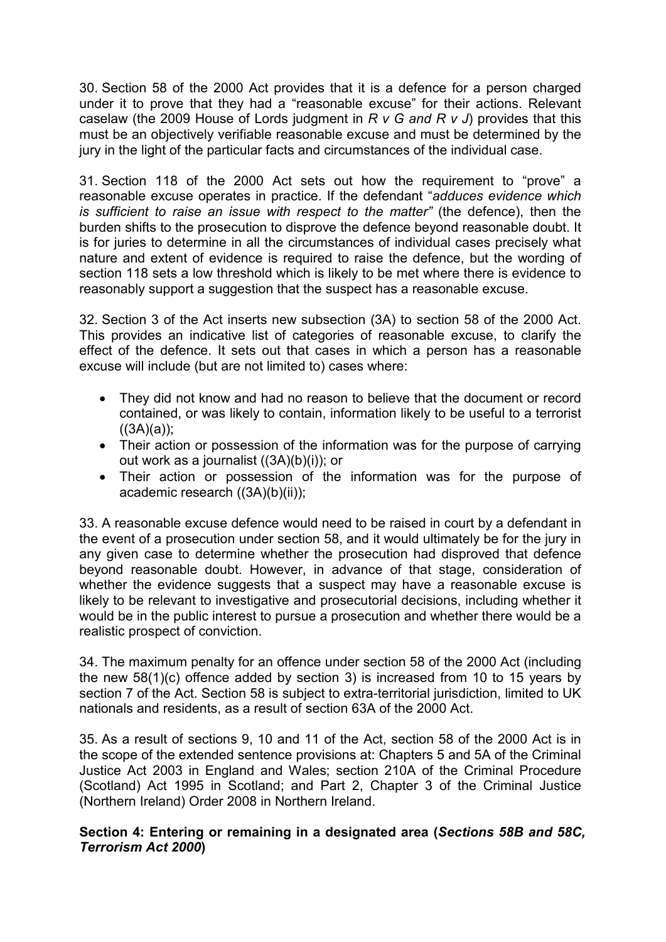30. Section 58 of the 2000 Act provides that it is a defence for a person charged under it to prove that they had a "reasonable excuse" for their actions. Relevant caselaw (the 2009 House of Lords judgment in *R v G and R v J*) provides that this must be an objectively verifiable reasonable excuse and must be determined by the jury in the light of the particular facts and circumstances of the individual case.

31. Section 118 of the 2000 Act sets out how the requirement to "prove" a reasonable excuse operates in practice. If the defendant "*adduces evidence which is sufficient to raise an issue with respect to the matter"* (the defence), then the burden shifts to the prosecution to disprove the defence beyond reasonable doubt. It is for juries to determine in all the circumstances of individual cases precisely what nature and extent of evidence is required to raise the defence, but the wording of section 118 sets a low threshold which is likely to be met where there is evidence to reasonably support a suggestion that the suspect has a reasonable excuse.

32. Section 3 of the Act inserts new subsection (3A) to section 58 of the 2000 Act. This provides an indicative list of categories of reasonable excuse, to clarify the effect of the defence. It sets out that cases in which a person has a reasonable excuse will include (but are not limited to) cases where:

- They did not know and had no reason to believe that the document or record contained, or was likely to contain, information likely to be useful to a terrorist  $((3A)(a))$ ;
- Their action or possession of the information was for the purpose of carrying out work as a journalist ((3A)(b)(i)); or
- Their action or possession of the information was for the purpose of academic research ((3A)(b)(ii));

33. A reasonable excuse defence would need to be raised in court by a defendant in the event of a prosecution under section 58, and it would ultimately be for the jury in any given case to determine whether the prosecution had disproved that defence beyond reasonable doubt. However, in advance of that stage, consideration of whether the evidence suggests that a suspect may have a reasonable excuse is likely to be relevant to investigative and prosecutorial decisions, including whether it would be in the public interest to pursue a prosecution and whether there would be a realistic prospect of conviction.

34. The maximum penalty for an offence under section 58 of the 2000 Act (including the new 58(1)(c) offence added by section 3) is increased from 10 to 15 years by section 7 of the Act. Section 58 is subject to extra-territorial jurisdiction, limited to UK nationals and residents, as a result of section 63A of the 2000 Act.

35. As a result of sections 9, 10 and 11 of the Act, section 58 of the 2000 Act is in the scope of the extended sentence provisions at: Chapters 5 and 5A of the Criminal Justice Act 2003 in England and Wales; section 210A of the Criminal Procedure (Scotland) Act 1995 in Scotland; and Part 2, Chapter 3 of the Criminal Justice (Northern Ireland) Order 2008 in Northern Ireland.

#### **Section 4: Entering or remaining in a designated area (***Sections 58B and 58C, Terrorism Act 2000***)**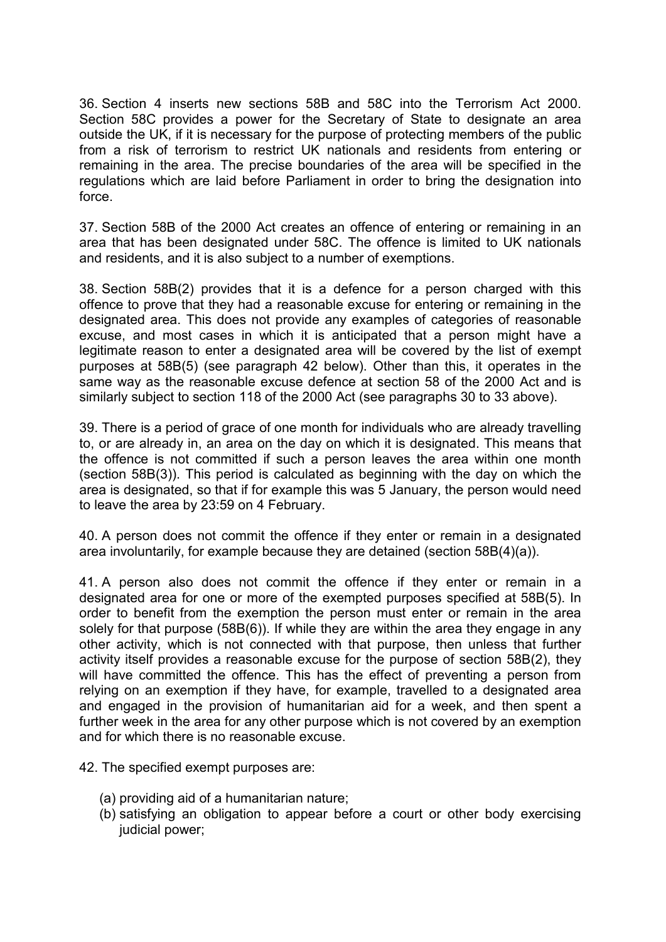36. Section 4 inserts new sections 58B and 58C into the Terrorism Act 2000. Section 58C provides a power for the Secretary of State to designate an area outside the UK, if it is necessary for the purpose of protecting members of the public from a risk of terrorism to restrict UK nationals and residents from entering or remaining in the area. The precise boundaries of the area will be specified in the regulations which are laid before Parliament in order to bring the designation into force.

37. Section 58B of the 2000 Act creates an offence of entering or remaining in an area that has been designated under 58C. The offence is limited to UK nationals and residents, and it is also subject to a number of exemptions.

38. Section 58B(2) provides that it is a defence for a person charged with this offence to prove that they had a reasonable excuse for entering or remaining in the designated area. This does not provide any examples of categories of reasonable excuse, and most cases in which it is anticipated that a person might have a legitimate reason to enter a designated area will be covered by the list of exempt purposes at 58B(5) (see paragraph 42 below). Other than this, it operates in the same way as the reasonable excuse defence at section 58 of the 2000 Act and is similarly subject to section 118 of the 2000 Act (see paragraphs 30 to 33 above).

39. There is a period of grace of one month for individuals who are already travelling to, or are already in, an area on the day on which it is designated. This means that the offence is not committed if such a person leaves the area within one month (section 58B(3)). This period is calculated as beginning with the day on which the area is designated, so that if for example this was 5 January, the person would need to leave the area by 23:59 on 4 February.

40. A person does not commit the offence if they enter or remain in a designated area involuntarily, for example because they are detained (section 58B(4)(a)).

41. A person also does not commit the offence if they enter or remain in a designated area for one or more of the exempted purposes specified at 58B(5). In order to benefit from the exemption the person must enter or remain in the area solely for that purpose (58B(6)). If while they are within the area they engage in any other activity, which is not connected with that purpose, then unless that further activity itself provides a reasonable excuse for the purpose of section 58B(2), they will have committed the offence. This has the effect of preventing a person from relying on an exemption if they have, for example, travelled to a designated area and engaged in the provision of humanitarian aid for a week, and then spent a further week in the area for any other purpose which is not covered by an exemption and for which there is no reasonable excuse.

42. The specified exempt purposes are:

- (a) providing aid of a humanitarian nature;
- (b) satisfying an obligation to appear before a court or other body exercising judicial power;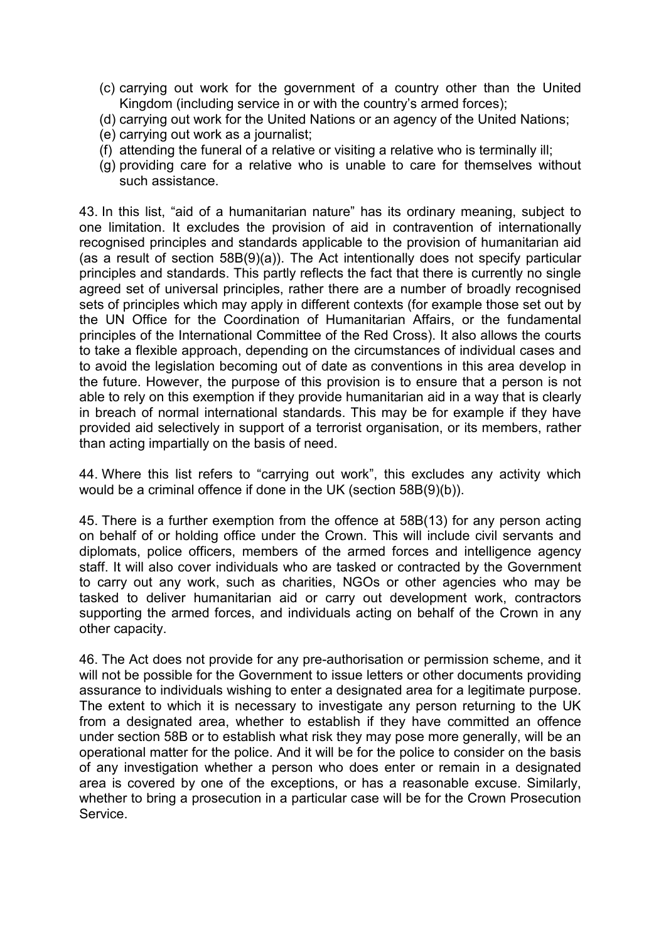- (c) carrying out work for the government of a country other than the United Kingdom (including service in or with the country's armed forces);
- (d) carrying out work for the United Nations or an agency of the United Nations;
- (e) carrying out work as a journalist;
- (f) attending the funeral of a relative or visiting a relative who is terminally ill;
- (g) providing care for a relative who is unable to care for themselves without such assistance.

43. In this list, "aid of a humanitarian nature" has its ordinary meaning, subject to one limitation. It excludes the provision of aid in contravention of internationally recognised principles and standards applicable to the provision of humanitarian aid (as a result of section 58B(9)(a)). The Act intentionally does not specify particular principles and standards. This partly reflects the fact that there is currently no single agreed set of universal principles, rather there are a number of broadly recognised sets of principles which may apply in different contexts (for example those set out by the UN Office for the Coordination of Humanitarian Affairs, or the fundamental principles of the International Committee of the Red Cross). It also allows the courts to take a flexible approach, depending on the circumstances of individual cases and to avoid the legislation becoming out of date as conventions in this area develop in the future. However, the purpose of this provision is to ensure that a person is not able to rely on this exemption if they provide humanitarian aid in a way that is clearly in breach of normal international standards. This may be for example if they have provided aid selectively in support of a terrorist organisation, or its members, rather than acting impartially on the basis of need.

44. Where this list refers to "carrying out work", this excludes any activity which would be a criminal offence if done in the UK (section 58B(9)(b)).

45. There is a further exemption from the offence at 58B(13) for any person acting on behalf of or holding office under the Crown. This will include civil servants and diplomats, police officers, members of the armed forces and intelligence agency staff. It will also cover individuals who are tasked or contracted by the Government to carry out any work, such as charities, NGOs or other agencies who may be tasked to deliver humanitarian aid or carry out development work, contractors supporting the armed forces, and individuals acting on behalf of the Crown in any other capacity.

46. The Act does not provide for any pre-authorisation or permission scheme, and it will not be possible for the Government to issue letters or other documents providing assurance to individuals wishing to enter a designated area for a legitimate purpose. The extent to which it is necessary to investigate any person returning to the UK from a designated area, whether to establish if they have committed an offence under section 58B or to establish what risk they may pose more generally, will be an operational matter for the police. And it will be for the police to consider on the basis of any investigation whether a person who does enter or remain in a designated area is covered by one of the exceptions, or has a reasonable excuse. Similarly, whether to bring a prosecution in a particular case will be for the Crown Prosecution **Service**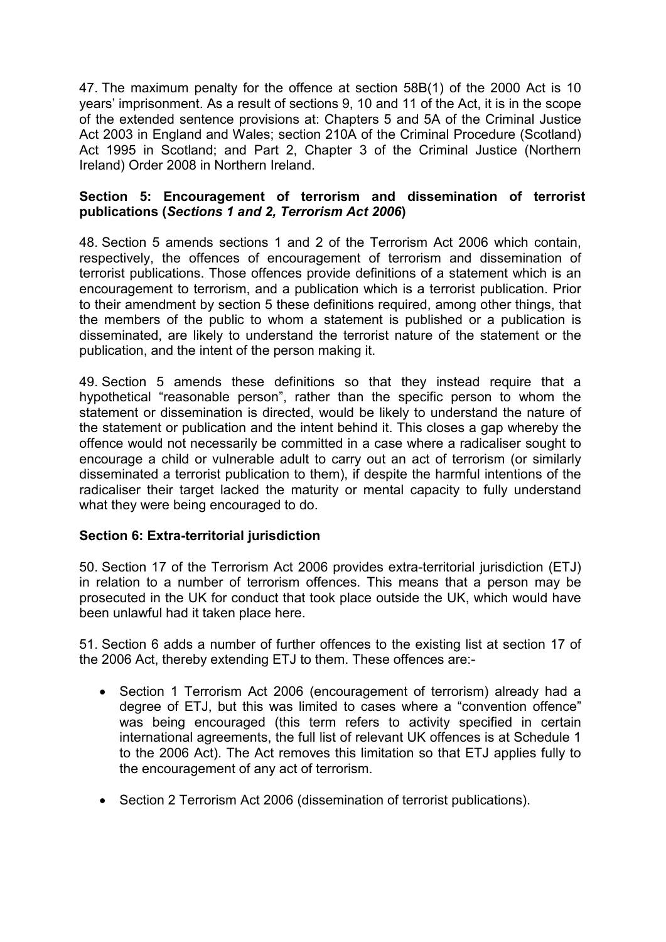47. The maximum penalty for the offence at section 58B(1) of the 2000 Act is 10 years' imprisonment. As a result of sections 9, 10 and 11 of the Act, it is in the scope of the extended sentence provisions at: Chapters 5 and 5A of the Criminal Justice Act 2003 in England and Wales; section 210A of the Criminal Procedure (Scotland) Act 1995 in Scotland; and Part 2, Chapter 3 of the Criminal Justice (Northern Ireland) Order 2008 in Northern Ireland.

#### **Section 5: Encouragement of terrorism and dissemination of terrorist publications (***Sections 1 and 2, Terrorism Act 2006***)**

48. Section 5 amends sections 1 and 2 of the Terrorism Act 2006 which contain, respectively, the offences of encouragement of terrorism and dissemination of terrorist publications. Those offences provide definitions of a statement which is an encouragement to terrorism, and a publication which is a terrorist publication. Prior to their amendment by section 5 these definitions required, among other things, that the members of the public to whom a statement is published or a publication is disseminated, are likely to understand the terrorist nature of the statement or the publication, and the intent of the person making it.

49. Section 5 amends these definitions so that they instead require that a hypothetical "reasonable person", rather than the specific person to whom the statement or dissemination is directed, would be likely to understand the nature of the statement or publication and the intent behind it. This closes a gap whereby the offence would not necessarily be committed in a case where a radicaliser sought to encourage a child or vulnerable adult to carry out an act of terrorism (or similarly disseminated a terrorist publication to them), if despite the harmful intentions of the radicaliser their target lacked the maturity or mental capacity to fully understand what they were being encouraged to do.

#### **Section 6: Extra-territorial jurisdiction**

50. Section 17 of the Terrorism Act 2006 provides extra-territorial jurisdiction (ETJ) in relation to a number of terrorism offences. This means that a person may be prosecuted in the UK for conduct that took place outside the UK, which would have been unlawful had it taken place here.

51. Section 6 adds a number of further offences to the existing list at section 17 of the 2006 Act, thereby extending ETJ to them. These offences are:-

- Section 1 Terrorism Act 2006 (encouragement of terrorism) already had a degree of ETJ, but this was limited to cases where a "convention offence" was being encouraged (this term refers to activity specified in certain international agreements, the full list of relevant UK offences is at Schedule 1 to the 2006 Act). The Act removes this limitation so that ETJ applies fully to the encouragement of any act of terrorism.
- Section 2 Terrorism Act 2006 (dissemination of terrorist publications).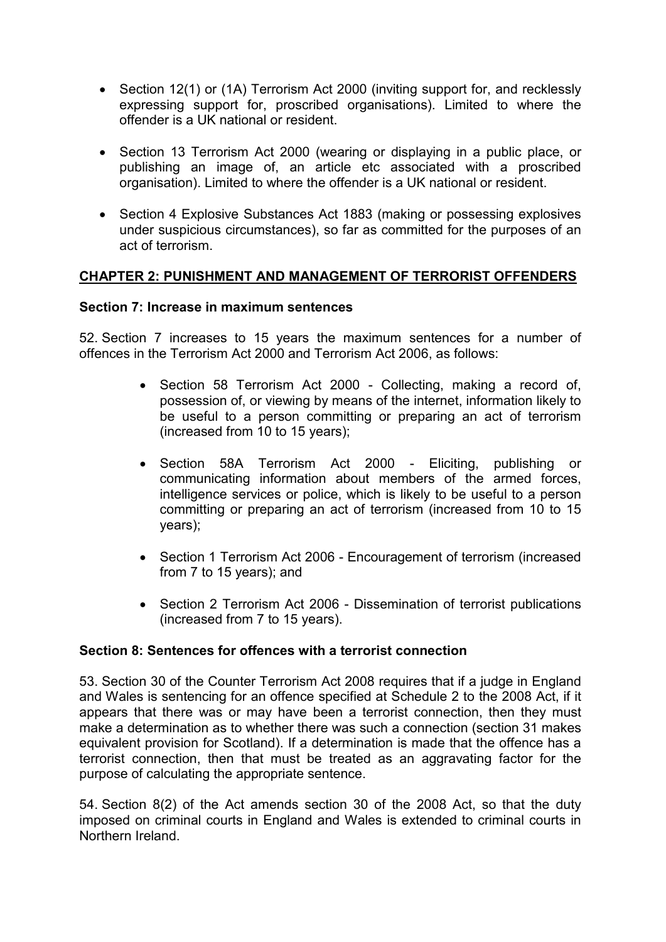- Section 12(1) or (1A) Terrorism Act 2000 (inviting support for, and recklessly expressing support for, proscribed organisations). Limited to where the offender is a UK national or resident.
- Section 13 Terrorism Act 2000 (wearing or displaying in a public place, or publishing an image of, an article etc associated with a proscribed organisation). Limited to where the offender is a UK national or resident.
- Section 4 Explosive Substances Act 1883 (making or possessing explosives under suspicious circumstances), so far as committed for the purposes of an act of terrorism.

#### **CHAPTER 2: PUNISHMENT AND MANAGEMENT OF TERRORIST OFFENDERS**

#### **Section 7: Increase in maximum sentences**

52. Section 7 increases to 15 years the maximum sentences for a number of offences in the Terrorism Act 2000 and Terrorism Act 2006, as follows:

- Section 58 Terrorism Act 2000 Collecting, making a record of, possession of, or viewing by means of the internet, information likely to be useful to a person committing or preparing an act of terrorism (increased from 10 to 15 years);
- Section 58A Terrorism Act 2000 Eliciting, publishing or communicating information about members of the armed forces, intelligence services or police, which is likely to be useful to a person committing or preparing an act of terrorism (increased from 10 to 15 years);
- Section 1 Terrorism Act 2006 Encouragement of terrorism (increased from 7 to 15 years); and
- Section 2 Terrorism Act 2006 Dissemination of terrorist publications (increased from 7 to 15 years).

#### **Section 8: Sentences for offences with a terrorist connection**

53. Section 30 of the Counter Terrorism Act 2008 requires that if a judge in England and Wales is sentencing for an offence specified at Schedule 2 to the 2008 Act, if it appears that there was or may have been a terrorist connection, then they must make a determination as to whether there was such a connection (section 31 makes equivalent provision for Scotland). If a determination is made that the offence has a terrorist connection, then that must be treated as an aggravating factor for the purpose of calculating the appropriate sentence.

54. Section 8(2) of the Act amends section 30 of the 2008 Act, so that the duty imposed on criminal courts in England and Wales is extended to criminal courts in Northern Ireland.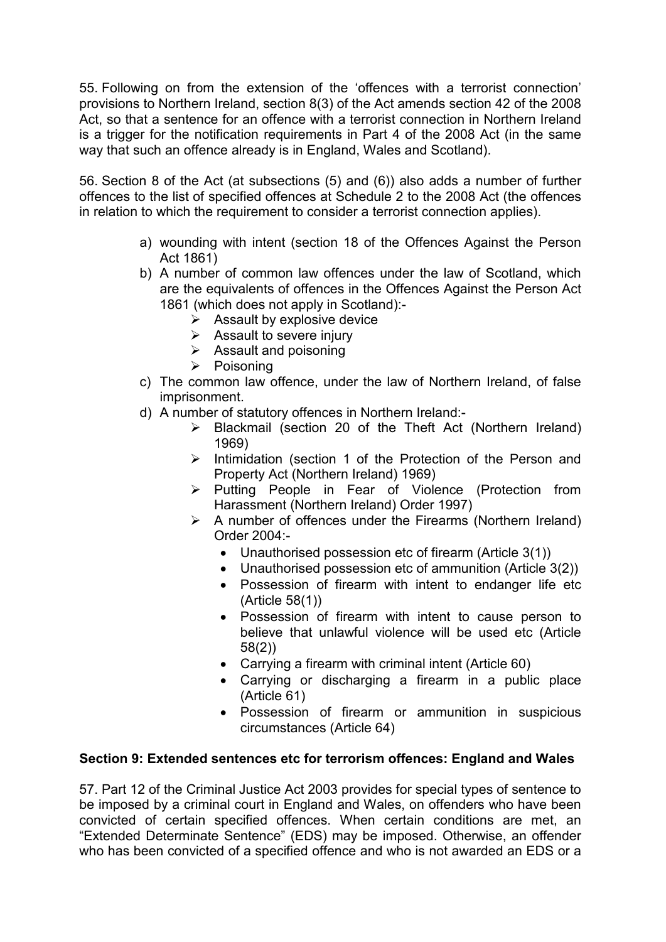55. Following on from the extension of the 'offences with a terrorist connection' provisions to Northern Ireland, section 8(3) of the Act amends section 42 of the 2008 Act, so that a sentence for an offence with a terrorist connection in Northern Ireland is a trigger for the notification requirements in Part 4 of the 2008 Act (in the same way that such an offence already is in England, Wales and Scotland).

56. Section 8 of the Act (at subsections (5) and (6)) also adds a number of further offences to the list of specified offences at Schedule 2 to the 2008 Act (the offences in relation to which the requirement to consider a terrorist connection applies).

- a) wounding with intent (section 18 of the Offences Against the Person Act 1861)
- b) A number of common law offences under the law of Scotland, which are the equivalents of offences in the Offences Against the Person Act 1861 (which does not apply in Scotland):-
	- $\triangleright$  Assault by explosive device
	- $\triangleright$  Assault to severe injury
	- $\triangleright$  Assault and poisoning
	- $\triangleright$  Poisoning
- c) The common law offence, under the law of Northern Ireland, of false imprisonment.
- d) A number of statutory offences in Northern Ireland:-
	- Blackmail (section 20 of the Theft Act (Northern Ireland) 1969)
	- $\triangleright$  Intimidation (section 1 of the Protection of the Person and Property Act (Northern Ireland) 1969)
	- $\triangleright$  Putting People in Fear of Violence (Protection from Harassment (Northern Ireland) Order 1997)
	- $\triangleright$  A number of offences under the Firearms (Northern Ireland) Order 2004:-
		- Unauthorised possession etc of firearm (Article 3(1))
		- Unauthorised possession etc of ammunition (Article 3(2))
		- Possession of firearm with intent to endanger life etc (Article 58(1))
		- Possession of firearm with intent to cause person to believe that unlawful violence will be used etc (Article 58(2))
		- Carrying a firearm with criminal intent (Article 60)
		- Carrying or discharging a firearm in a public place (Article 61)
		- Possession of firearm or ammunition in suspicious circumstances (Article 64)

#### **Section 9: Extended sentences etc for terrorism offences: England and Wales**

57. Part 12 of the Criminal Justice Act 2003 provides for special types of sentence to be imposed by a criminal court in England and Wales, on offenders who have been convicted of certain specified offences. When certain conditions are met, an "Extended Determinate Sentence" (EDS) may be imposed. Otherwise, an offender who has been convicted of a specified offence and who is not awarded an EDS or a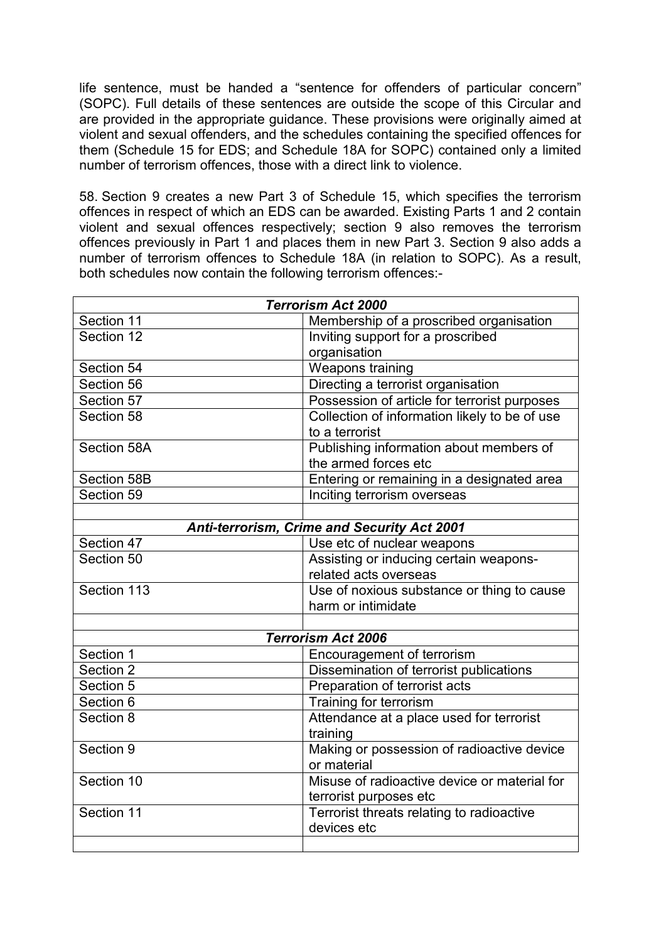life sentence, must be handed a "sentence for offenders of particular concern" (SOPC). Full details of these sentences are outside the scope of this Circular and are provided in the appropriate guidance. These provisions were originally aimed at violent and sexual offenders, and the schedules containing the specified offences for them (Schedule 15 for EDS; and Schedule 18A for SOPC) contained only a limited number of terrorism offences, those with a direct link to violence.

58. Section 9 creates a new Part 3 of Schedule 15, which specifies the terrorism offences in respect of which an EDS can be awarded. Existing Parts 1 and 2 contain violent and sexual offences respectively; section 9 also removes the terrorism offences previously in Part 1 and places them in new Part 3. Section 9 also adds a number of terrorism offences to Schedule 18A (in relation to SOPC). As a result, both schedules now contain the following terrorism offences:-

| <b>Terrorism Act 2000</b>                   |                                               |
|---------------------------------------------|-----------------------------------------------|
| Section 11                                  | Membership of a proscribed organisation       |
| Section 12                                  | Inviting support for a proscribed             |
|                                             | organisation                                  |
| Section 54                                  | Weapons training                              |
| Section 56                                  | Directing a terrorist organisation            |
| Section 57                                  | Possession of article for terrorist purposes  |
| Section 58                                  | Collection of information likely to be of use |
|                                             | to a terrorist                                |
| Section 58A                                 | Publishing information about members of       |
|                                             | the armed forces etc                          |
| Section 58B                                 | Entering or remaining in a designated area    |
| Section 59                                  | Inciting terrorism overseas                   |
|                                             |                                               |
| Anti-terrorism, Crime and Security Act 2001 |                                               |
| Section 47                                  | Use etc of nuclear weapons                    |
| Section 50                                  | Assisting or inducing certain weapons-        |
|                                             | related acts overseas                         |
| Section 113                                 | Use of noxious substance or thing to cause    |
|                                             | harm or intimidate                            |
|                                             |                                               |
| <b>Terrorism Act 2006</b>                   |                                               |
| Section 1                                   | Encouragement of terrorism                    |
| Section 2                                   | Dissemination of terrorist publications       |
| Section 5                                   | Preparation of terrorist acts                 |
| Section 6                                   | Training for terrorism                        |
| Section 8                                   | Attendance at a place used for terrorist      |
|                                             | training                                      |
| Section 9                                   | Making or possession of radioactive device    |
|                                             | or material                                   |
| Section 10                                  | Misuse of radioactive device or material for  |
|                                             | terrorist purposes etc                        |
| Section 11                                  | Terrorist threats relating to radioactive     |
|                                             | devices etc                                   |
|                                             |                                               |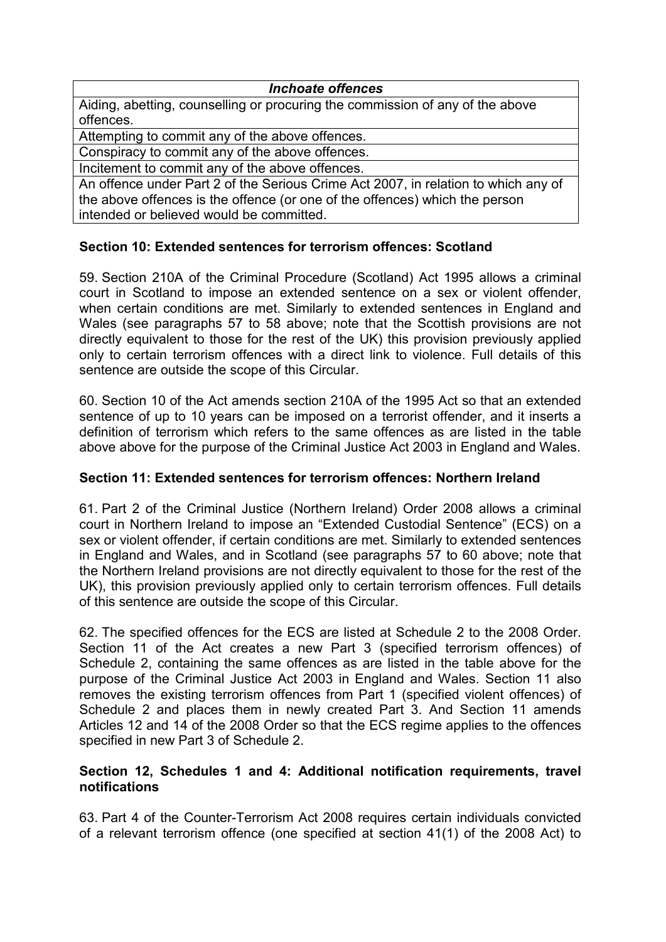#### *Inchoate offences*

Aiding, abetting, counselling or procuring the commission of any of the above offences.

Attempting to commit any of the above offences.

Conspiracy to commit any of the above offences.

Incitement to commit any of the above offences.

An offence under Part 2 of the Serious Crime Act 2007, in relation to which any of the above offences is the offence (or one of the offences) which the person intended or believed would be committed.

# **Section 10: Extended sentences for terrorism offences: Scotland**

59. Section 210A of the Criminal Procedure (Scotland) Act 1995 allows a criminal court in Scotland to impose an extended sentence on a sex or violent offender, when certain conditions are met. Similarly to extended sentences in England and Wales (see paragraphs 57 to 58 above; note that the Scottish provisions are not directly equivalent to those for the rest of the UK) this provision previously applied only to certain terrorism offences with a direct link to violence. Full details of this sentence are outside the scope of this Circular.

60. Section 10 of the Act amends section 210A of the 1995 Act so that an extended sentence of up to 10 years can be imposed on a terrorist offender, and it inserts a definition of terrorism which refers to the same offences as are listed in the table above above for the purpose of the Criminal Justice Act 2003 in England and Wales.

## **Section 11: Extended sentences for terrorism offences: Northern Ireland**

61. Part 2 of the Criminal Justice (Northern Ireland) Order 2008 allows a criminal court in Northern Ireland to impose an "Extended Custodial Sentence" (ECS) on a sex or violent offender, if certain conditions are met. Similarly to extended sentences in England and Wales, and in Scotland (see paragraphs 57 to 60 above; note that the Northern Ireland provisions are not directly equivalent to those for the rest of the UK), this provision previously applied only to certain terrorism offences. Full details of this sentence are outside the scope of this Circular.

62. The specified offences for the ECS are listed at Schedule 2 to the 2008 Order. Section 11 of the Act creates a new Part 3 (specified terrorism offences) of Schedule 2, containing the same offences as are listed in the table above for the purpose of the Criminal Justice Act 2003 in England and Wales. Section 11 also removes the existing terrorism offences from Part 1 (specified violent offences) of Schedule 2 and places them in newly created Part 3. And Section 11 amends Articles 12 and 14 of the 2008 Order so that the ECS regime applies to the offences specified in new Part 3 of Schedule 2.

#### **Section 12, Schedules 1 and 4: Additional notification requirements, travel notifications**

63. Part 4 of the Counter-Terrorism Act 2008 requires certain individuals convicted of a relevant terrorism offence (one specified at section 41(1) of the 2008 Act) to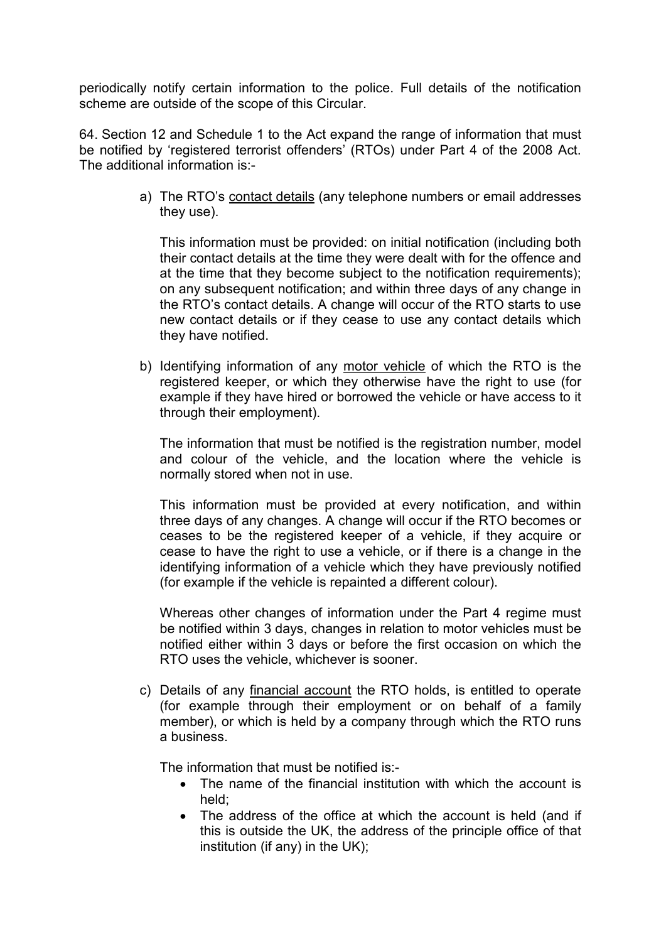periodically notify certain information to the police. Full details of the notification scheme are outside of the scope of this Circular.

64. Section 12 and Schedule 1 to the Act expand the range of information that must be notified by 'registered terrorist offenders' (RTOs) under Part 4 of the 2008 Act. The additional information is:-

> a) The RTO's contact details (any telephone numbers or email addresses they use).

This information must be provided: on initial notification (including both their contact details at the time they were dealt with for the offence and at the time that they become subject to the notification requirements); on any subsequent notification; and within three days of any change in the RTO's contact details. A change will occur of the RTO starts to use new contact details or if they cease to use any contact details which they have notified.

b) Identifying information of any motor vehicle of which the RTO is the registered keeper, or which they otherwise have the right to use (for example if they have hired or borrowed the vehicle or have access to it through their employment).

The information that must be notified is the registration number, model and colour of the vehicle, and the location where the vehicle is normally stored when not in use.

This information must be provided at every notification, and within three days of any changes. A change will occur if the RTO becomes or ceases to be the registered keeper of a vehicle, if they acquire or cease to have the right to use a vehicle, or if there is a change in the identifying information of a vehicle which they have previously notified (for example if the vehicle is repainted a different colour).

Whereas other changes of information under the Part 4 regime must be notified within 3 days, changes in relation to motor vehicles must be notified either within 3 days or before the first occasion on which the RTO uses the vehicle, whichever is sooner.

c) Details of any financial account the RTO holds, is entitled to operate (for example through their employment or on behalf of a family member), or which is held by a company through which the RTO runs a business.

The information that must be notified is:-

- The name of the financial institution with which the account is held;
- The address of the office at which the account is held (and if this is outside the UK, the address of the principle office of that institution (if any) in the UK);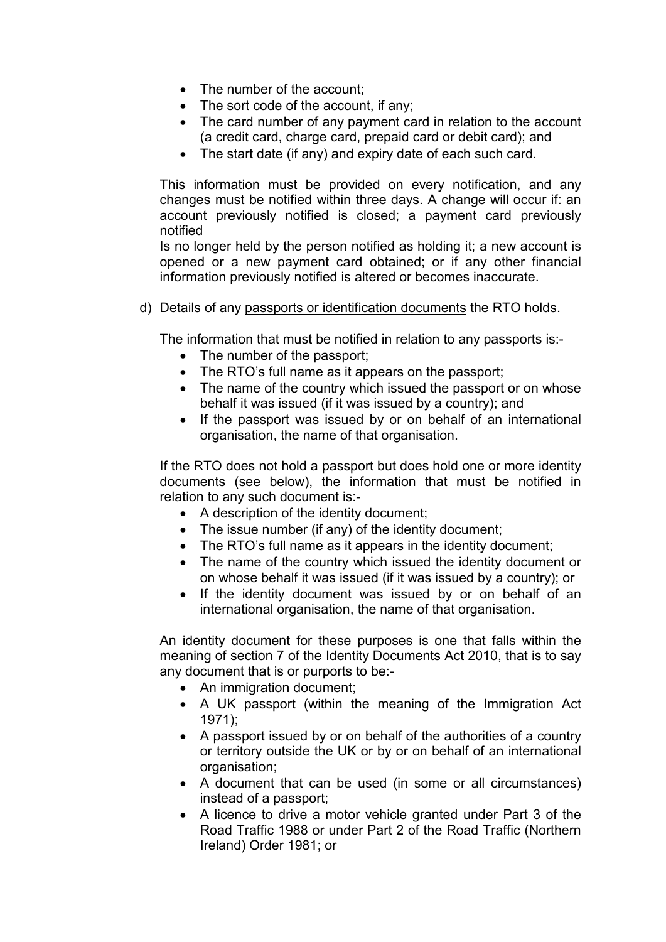- The number of the account:
- The sort code of the account, if any;
- The card number of any payment card in relation to the account (a credit card, charge card, prepaid card or debit card); and
- The start date (if any) and expiry date of each such card.

This information must be provided on every notification, and any changes must be notified within three days. A change will occur if: an account previously notified is closed; a payment card previously notified

Is no longer held by the person notified as holding it; a new account is opened or a new payment card obtained; or if any other financial information previously notified is altered or becomes inaccurate.

d) Details of any passports or identification documents the RTO holds.

The information that must be notified in relation to any passports is:-

- The number of the passport;
- The RTO's full name as it appears on the passport;
- The name of the country which issued the passport or on whose behalf it was issued (if it was issued by a country); and
- If the passport was issued by or on behalf of an international organisation, the name of that organisation.

If the RTO does not hold a passport but does hold one or more identity documents (see below), the information that must be notified in relation to any such document is:-

- A description of the identity document;
- The issue number (if any) of the identity document;
- The RTO's full name as it appears in the identity document;
- The name of the country which issued the identity document or on whose behalf it was issued (if it was issued by a country); or
- If the identity document was issued by or on behalf of an international organisation, the name of that organisation.

An identity document for these purposes is one that falls within the meaning of section 7 of the Identity Documents Act 2010, that is to say any document that is or purports to be:-

- An immigration document;
- A UK passport (within the meaning of the Immigration Act 1971);
- A passport issued by or on behalf of the authorities of a country or territory outside the UK or by or on behalf of an international organisation;
- A document that can be used (in some or all circumstances) instead of a passport;
- A licence to drive a motor vehicle granted under Part 3 of the Road Traffic 1988 or under Part 2 of the Road Traffic (Northern Ireland) Order 1981; or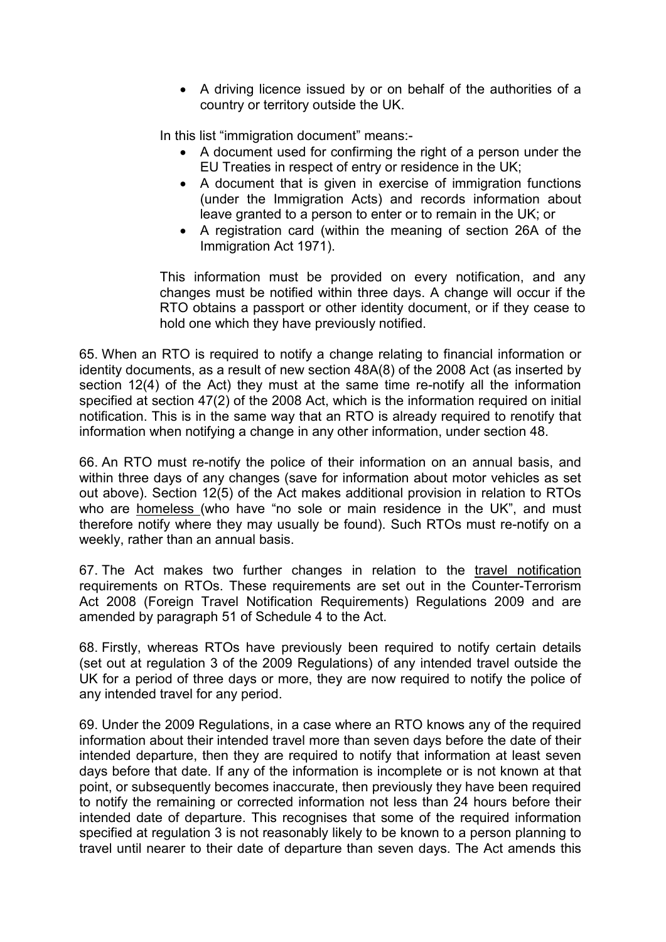• A driving licence issued by or on behalf of the authorities of a country or territory outside the UK.

In this list "immigration document" means:-

- A document used for confirming the right of a person under the EU Treaties in respect of entry or residence in the UK;
- A document that is given in exercise of immigration functions (under the Immigration Acts) and records information about leave granted to a person to enter or to remain in the UK; or
- A registration card (within the meaning of section 26A of the Immigration Act 1971).

This information must be provided on every notification, and any changes must be notified within three days. A change will occur if the RTO obtains a passport or other identity document, or if they cease to hold one which they have previously notified.

65. When an RTO is required to notify a change relating to financial information or identity documents, as a result of new section 48A(8) of the 2008 Act (as inserted by section 12(4) of the Act) they must at the same time re-notify all the information specified at section 47(2) of the 2008 Act, which is the information required on initial notification. This is in the same way that an RTO is already required to renotify that information when notifying a change in any other information, under section 48.

66. An RTO must re-notify the police of their information on an annual basis, and within three days of any changes (save for information about motor vehicles as set out above). Section 12(5) of the Act makes additional provision in relation to RTOs who are homeless (who have "no sole or main residence in the UK", and must therefore notify where they may usually be found). Such RTOs must re-notify on a weekly, rather than an annual basis.

67. The Act makes two further changes in relation to the travel notification requirements on RTOs. These requirements are set out in the Counter-Terrorism Act 2008 (Foreign Travel Notification Requirements) Regulations 2009 and are amended by paragraph 51 of Schedule 4 to the Act.

68. Firstly, whereas RTOs have previously been required to notify certain details (set out at regulation 3 of the 2009 Regulations) of any intended travel outside the UK for a period of three days or more, they are now required to notify the police of any intended travel for any period.

69. Under the 2009 Regulations, in a case where an RTO knows any of the required information about their intended travel more than seven days before the date of their intended departure, then they are required to notify that information at least seven days before that date. If any of the information is incomplete or is not known at that point, or subsequently becomes inaccurate, then previously they have been required to notify the remaining or corrected information not less than 24 hours before their intended date of departure. This recognises that some of the required information specified at regulation 3 is not reasonably likely to be known to a person planning to travel until nearer to their date of departure than seven days. The Act amends this